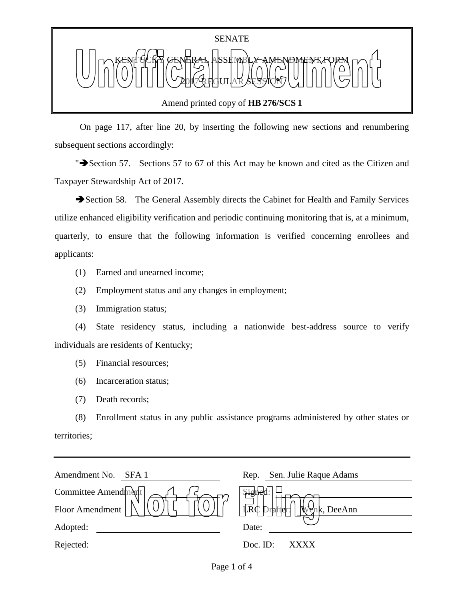

Amend printed copy of **HB 276/SCS 1**

 On page 117, after line 20, by inserting the following new sections and renumbering subsequent sections accordingly:

"Section 57. Sections 57 to 67 of this Act may be known and cited as the Citizen and Taxpayer Stewardship Act of 2017.

Section 58. The General Assembly directs the Cabinet for Health and Family Services utilize enhanced eligibility verification and periodic continuing monitoring that is, at a minimum, quarterly, to ensure that the following information is verified concerning enrollees and applicants:

- (1) Earned and unearned income;
- (2) Employment status and any changes in employment;
- (3) Immigration status;

(4) State residency status, including a nationwide best-address source to verify individuals are residents of Kentucky;

- (5) Financial resources;
- (6) Incarceration status;
- (7) Death records;

(8) Enrollment status in any public assistance programs administered by other states or territories;

| Amendment No.<br>SFA <sub>1</sub> | Sen. Julie Raque Adams<br>Rep. |
|-----------------------------------|--------------------------------|
| Committee Amendment               |                                |
| Floor Amendment                   | LRC Drafter:<br>Wenk, DeeAnn   |
| Adopted:                          | Date:                          |
| Rejected:                         | Doc. ID:<br>xxxx               |
|                                   |                                |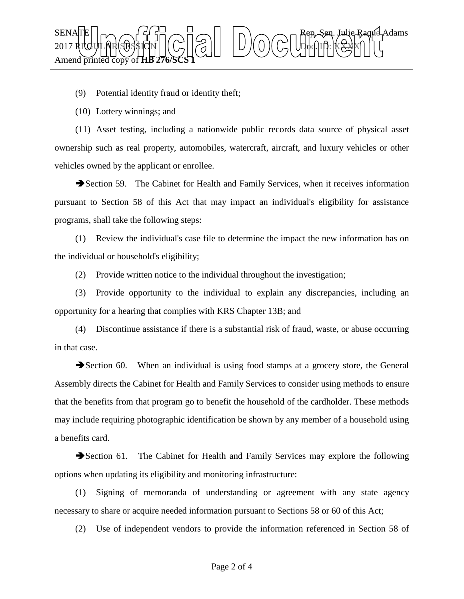

(9) Potential identity fraud or identity theft;

(10) Lottery winnings; and

(11) Asset testing, including a nationwide public records data source of physical asset ownership such as real property, automobiles, watercraft, aircraft, and luxury vehicles or other vehicles owned by the applicant or enrollee.

Section 59. The Cabinet for Health and Family Services, when it receives information pursuant to Section 58 of this Act that may impact an individual's eligibility for assistance programs, shall take the following steps:

(1) Review the individual's case file to determine the impact the new information has on the individual or household's eligibility;

(2) Provide written notice to the individual throughout the investigation;

(3) Provide opportunity to the individual to explain any discrepancies, including an opportunity for a hearing that complies with KRS Chapter 13B; and

(4) Discontinue assistance if there is a substantial risk of fraud, waste, or abuse occurring in that case.

Section 60. When an individual is using food stamps at a grocery store, the General Assembly directs the Cabinet for Health and Family Services to consider using methods to ensure that the benefits from that program go to benefit the household of the cardholder. These methods may include requiring photographic identification be shown by any member of a household using a benefits card.

Section 61. The Cabinet for Health and Family Services may explore the following options when updating its eligibility and monitoring infrastructure:

(1) Signing of memoranda of understanding or agreement with any state agency necessary to share or acquire needed information pursuant to Sections 58 or 60 of this Act;

(2) Use of independent vendors to provide the information referenced in Section 58 of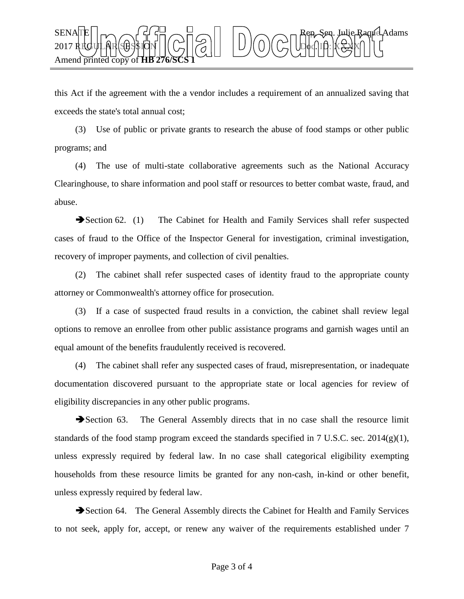

this Act if the agreement with the a vendor includes a requirement of an annualized saving that exceeds the state's total annual cost;

(3) Use of public or private grants to research the abuse of food stamps or other public programs; and

(4) The use of multi-state collaborative agreements such as the National Accuracy Clearinghouse, to share information and pool staff or resources to better combat waste, fraud, and abuse.

Section 62. (1) The Cabinet for Health and Family Services shall refer suspected cases of fraud to the Office of the Inspector General for investigation, criminal investigation, recovery of improper payments, and collection of civil penalties.

(2) The cabinet shall refer suspected cases of identity fraud to the appropriate county attorney or Commonwealth's attorney office for prosecution.

(3) If a case of suspected fraud results in a conviction, the cabinet shall review legal options to remove an enrollee from other public assistance programs and garnish wages until an equal amount of the benefits fraudulently received is recovered.

(4) The cabinet shall refer any suspected cases of fraud, misrepresentation, or inadequate documentation discovered pursuant to the appropriate state or local agencies for review of eligibility discrepancies in any other public programs.

Section 63. The General Assembly directs that in no case shall the resource limit standards of the food stamp program exceed the standards specified in 7 U.S.C. sec. 2014(g)(1), unless expressly required by federal law. In no case shall categorical eligibility exempting households from these resource limits be granted for any non-cash, in-kind or other benefit, unless expressly required by federal law.

Section 64. The General Assembly directs the Cabinet for Health and Family Services to not seek, apply for, accept, or renew any waiver of the requirements established under 7